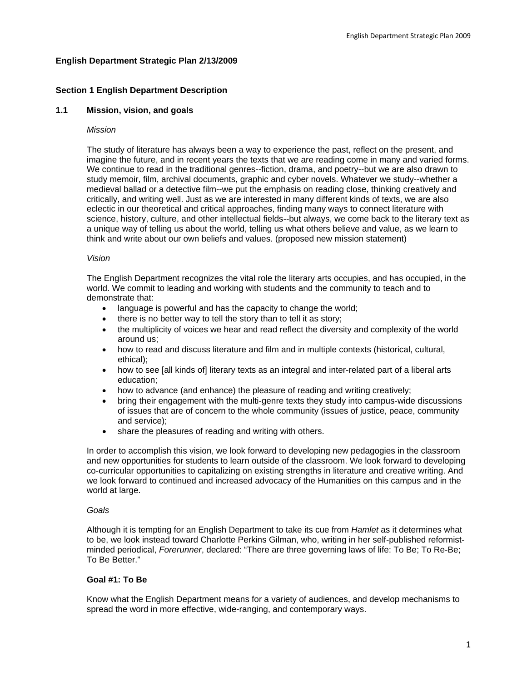# **English Department Strategic Plan 2/13/2009**

# **Section 1 English Department Description**

## **1.1 Mission, vision, and goals**

### *Mission*

The study of literature has always been a way to experience the past, reflect on the present, and imagine the future, and in recent years the texts that we are reading come in many and varied forms. We continue to read in the traditional genres--fiction, drama, and poetry--but we are also drawn to study memoir, film, archival documents, graphic and cyber novels. Whatever we study--whether a medieval ballad or a detective film--we put the emphasis on reading close, thinking creatively and critically, and writing well. Just as we are interested in many different kinds of texts, we are also eclectic in our theoretical and critical approaches, finding many ways to connect literature with science, history, culture, and other intellectual fields--but always, we come back to the literary text as a unique way of telling us about the world, telling us what others believe and value, as we learn to think and write about our own beliefs and values. (proposed new mission statement)

### *Vision*

The English Department recognizes the vital role the literary arts occupies, and has occupied, in the world. We commit to leading and working with students and the community to teach and to demonstrate that:

- language is powerful and has the capacity to change the world;
- there is no better way to tell the story than to tell it as story;
- the multiplicity of voices we hear and read reflect the diversity and complexity of the world around us;
- how to read and discuss literature and film and in multiple contexts (historical, cultural, ethical);
- how to see [all kinds of] literary texts as an integral and inter-related part of a liberal arts education;
- how to advance (and enhance) the pleasure of reading and writing creatively;
- bring their engagement with the multi-genre texts they study into campus-wide discussions of issues that are of concern to the whole community (issues of justice, peace, community and service);
- share the pleasures of reading and writing with others.

In order to accomplish this vision, we look forward to developing new pedagogies in the classroom and new opportunities for students to learn outside of the classroom. We look forward to developing co-curricular opportunities to capitalizing on existing strengths in literature and creative writing. And we look forward to continued and increased advocacy of the Humanities on this campus and in the world at large.

## *Goals*

Although it is tempting for an English Department to take its cue from *Hamlet* as it determines what to be, we look instead toward Charlotte Perkins Gilman, who, writing in her self-published reformistminded periodical, *Forerunner*, declared: "There are three governing laws of life: To Be; To Re-Be; To Be Better."

## **Goal #1: To Be**

Know what the English Department means for a variety of audiences, and develop mechanisms to spread the word in more effective, wide-ranging, and contemporary ways.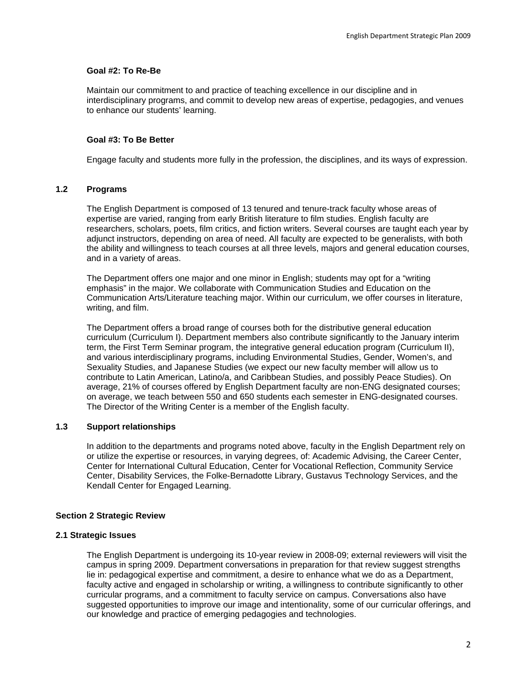## **Goal #2: To Re-Be**

Maintain our commitment to and practice of teaching excellence in our discipline and in interdisciplinary programs, and commit to develop new areas of expertise, pedagogies, and venues to enhance our students' learning.

### **Goal #3: To Be Better**

Engage faculty and students more fully in the profession, the disciplines, and its ways of expression.

# **1.2 Programs**

The English Department is composed of 13 tenured and tenure-track faculty whose areas of expertise are varied, ranging from early British literature to film studies. English faculty are researchers, scholars, poets, film critics, and fiction writers. Several courses are taught each year by adjunct instructors, depending on area of need. All faculty are expected to be generalists, with both the ability and willingness to teach courses at all three levels, majors and general education courses, and in a variety of areas.

The Department offers one major and one minor in English; students may opt for a "writing emphasis" in the major. We collaborate with Communication Studies and Education on the Communication Arts/Literature teaching major. Within our curriculum, we offer courses in literature, writing, and film.

The Department offers a broad range of courses both for the distributive general education curriculum (Curriculum I). Department members also contribute significantly to the January interim term, the First Term Seminar program, the integrative general education program (Curriculum II), and various interdisciplinary programs, including Environmental Studies, Gender, Women's, and Sexuality Studies, and Japanese Studies (we expect our new faculty member will allow us to contribute to Latin American, Latino/a, and Caribbean Studies, and possibly Peace Studies). On average, 21% of courses offered by English Department faculty are non-ENG designated courses; on average, we teach between 550 and 650 students each semester in ENG-designated courses. The Director of the Writing Center is a member of the English faculty.

# **1.3 Support relationships**

In addition to the departments and programs noted above, faculty in the English Department rely on or utilize the expertise or resources, in varying degrees, of: Academic Advising, the Career Center, Center for International Cultural Education, Center for Vocational Reflection, Community Service Center, Disability Services, the Folke-Bernadotte Library, Gustavus Technology Services, and the Kendall Center for Engaged Learning.

#### **Section 2 Strategic Review**

### **2.1 Strategic Issues**

The English Department is undergoing its 10-year review in 2008-09; external reviewers will visit the campus in spring 2009. Department conversations in preparation for that review suggest strengths lie in: pedagogical expertise and commitment, a desire to enhance what we do as a Department, faculty active and engaged in scholarship or writing, a willingness to contribute significantly to other curricular programs, and a commitment to faculty service on campus. Conversations also have suggested opportunities to improve our image and intentionality, some of our curricular offerings, and our knowledge and practice of emerging pedagogies and technologies.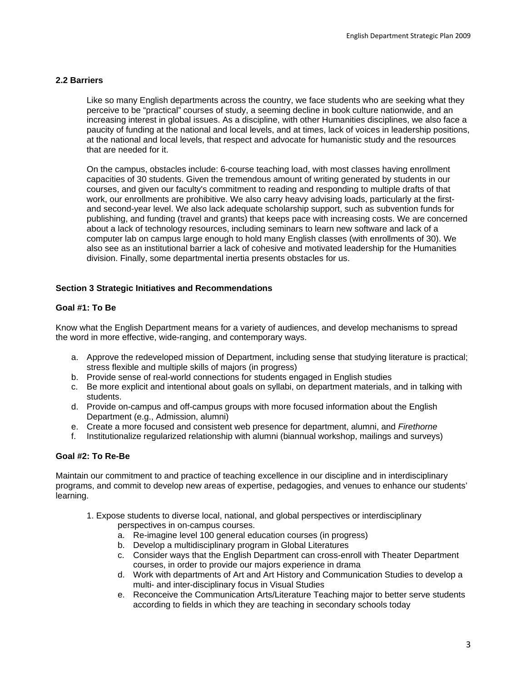# **2.2 Barriers**

Like so many English departments across the country, we face students who are seeking what they perceive to be "practical" courses of study, a seeming decline in book culture nationwide, and an increasing interest in global issues. As a discipline, with other Humanities disciplines, we also face a paucity of funding at the national and local levels, and at times, lack of voices in leadership positions, at the national and local levels, that respect and advocate for humanistic study and the resources that are needed for it.

On the campus, obstacles include: 6-course teaching load, with most classes having enrollment capacities of 30 students. Given the tremendous amount of writing generated by students in our courses, and given our faculty's commitment to reading and responding to multiple drafts of that work, our enrollments are prohibitive. We also carry heavy advising loads, particularly at the firstand second-year level. We also lack adequate scholarship support, such as subvention funds for publishing, and funding (travel and grants) that keeps pace with increasing costs. We are concerned about a lack of technology resources, including seminars to learn new software and lack of a computer lab on campus large enough to hold many English classes (with enrollments of 30). We also see as an institutional barrier a lack of cohesive and motivated leadership for the Humanities division. Finally, some departmental inertia presents obstacles for us.

## **Section 3 Strategic Initiatives and Recommendations**

# **Goal #1: To Be**

Know what the English Department means for a variety of audiences, and develop mechanisms to spread the word in more effective, wide-ranging, and contemporary ways.

- a. Approve the redeveloped mission of Department, including sense that studying literature is practical; stress flexible and multiple skills of majors (in progress)
- b. Provide sense of real-world connections for students engaged in English studies
- c. Be more explicit and intentional about goals on syllabi, on department materials, and in talking with students.
- d. Provide on-campus and off-campus groups with more focused information about the English Department (e.g., Admission, alumni)
- e. Create a more focused and consistent web presence for department, alumni, and *Firethorne*
- f. Institutionalize regularized relationship with alumni (biannual workshop, mailings and surveys)

## **Goal #2: To Re-Be**

Maintain our commitment to and practice of teaching excellence in our discipline and in interdisciplinary programs, and commit to develop new areas of expertise, pedagogies, and venues to enhance our students' learning.

- 1. Expose students to diverse local, national, and global perspectives or interdisciplinary perspectives in on-campus courses.
	- a. Re-imagine level 100 general education courses (in progress)
	- b. Develop a multidisciplinary program in Global Literatures
	- c. Consider ways that the English Department can cross-enroll with Theater Department courses, in order to provide our majors experience in drama
	- d. Work with departments of Art and Art History and Communication Studies to develop a multi- and inter-disciplinary focus in Visual Studies
	- e. Reconceive the Communication Arts/Literature Teaching major to better serve students according to fields in which they are teaching in secondary schools today